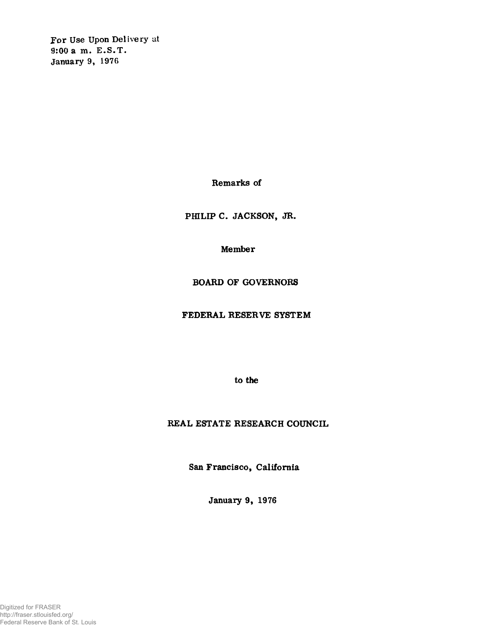**For Use Upon Delivery at 9:00 a m. E.S.T. January 9, 1976**

**Remarks of**

**PHILIP C. JACKSON, JR.**

**Member**

**BOARD OF GOVERNORS**

**FEDERAL RESERVE SYSTEM**

**to the**

**REAL ESTATE RESEARCH COUNCIL**

**San Francisco, California**

**January 9, 1976**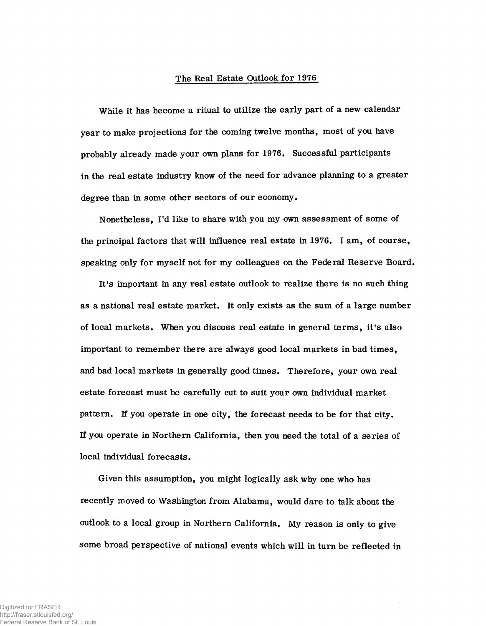## **The Real Estate Outlook for 1976**

**While it has become a ritual to utilize the early part of a new calendar year to make projections for the coming twelve months, most of you have probably already made your own plans for 1976. Successful participants in the real estate industry know of the need for advance planning to a greater degree than in some other sectors of our economy.**

**Nonetheless, I'd like to share with you my own assessment of some of the principal factors that will influence real estate in 1976. I am, of course, speaking only for myself not for my colleagues on the Federal Reserve Board.**

**It's important in any real estate outlook to realize there is no such thing as a national real estate market. It only exists as the sum of a large number of local markets. When you discuss real estate in general terms, it's also important to remember there are always good local markets in bad times, and bad local markets in generally good times. Therefore, your own real estate forecast must be carefully cut to suit your own individual market pattern. If you operate in one city, the forecast needs to be for that city. If you operate in Northern California, then you need the total of a series of local individual forecasts.**

**Given this assumption, you might logically ask why one who has recently moved to Washington from Alabama, would dare to talk about the outlook to a local group in Northern California. My reason is only to give some broad perspective of national events which will in turn be reflected in**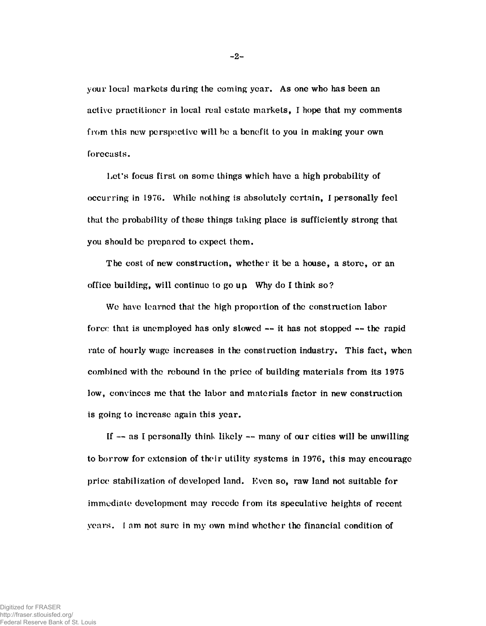**your local markets during the coming year. As one who has been an active practitioner in local real estate markets, I hope that my comments from this new perspective will be a benefit to you in making your own forecasts.**

**Let's focus first on some things which have a high probability of occurring in 1976. While nothing is absolutely certain, I personally feel that the probability of these things taking place is sufficiently strong that you should be prepared to expect them.**

**The cost of new construction, whether it be a house, a store, or an office building, will continue to go up Why do I think so?**

**We have learned that the high proportion of the construction labor forec that is unemployed has only slowed — it has not stopped — the rapid rate of hourly wage increases in the construction industry. This fact, when combined with the rebound in the price of building materials from its 1975 low, convinces me that the labor and materials factor in new construction is going to increase again this year.**

**If — as I personally think likely — many of our cities will be unwilling to borrow for extension of their utility systems in 1976, this may encourage price stabilization of developed land. liven so, raw land not suitable for immediate development may recede from its speculative heights of recent years. I am not sure in my own mind whether the financial condition of**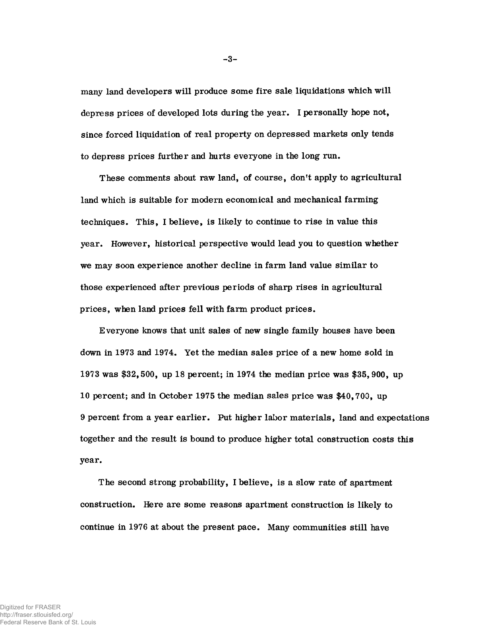**many land developers will produce some fire sale liquidations which will depress prices of developed lots during the year. I personally hope not, since forced liquidation of real property on depressed markets only tends to depress prices further and hurts everyone in the long run.**

**These comments about raw land, of course, don't apply to agricultural land which is suitable for modern economical and mechanical farming techniques. This, I believe, is likely to continue to rise in value this year. However, historical perspective would lead you to question whether we may soon experience another decline in farm land value similar to those experienced after previous periods of sharp rises in agricultural prices, when land prices fell with farm product prices.**

**Everyone knows that unit sales of new single family houses have been down in 1973 and 1974. Yet the median sales price of a new home sold in 1973 was \$32,500, up 18 percent; in 1974 the median price was \$35,900, up 10 percent; and in October 1975 the median sales price was \$40,700, up 9 percent from a year earlier. Put higher labor materials, land and expectations together and the result is bound to produce higher total construction costs this year.**

**The second strong probability, I believe, is a slow rate of apartment construction. Here are some reasons apartment construction is likely to continue in 1976 at about the present pace. Many communities still have**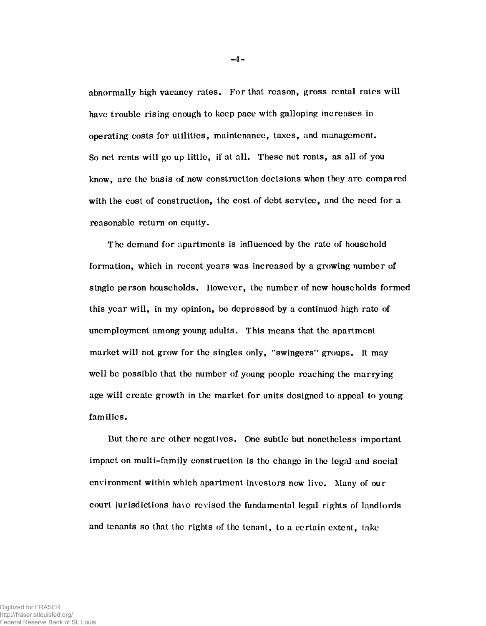abnormally high vacancy rates. For that reason, gross rental rales will have trouble rising enough to keep pace with galloping increases in operating costs for utilities, maintenance, taxes, and management. So net rents will go up little, if at all. These net rents, as all of you know, are the basis of new construction decisions when they are compared with the cost of construction, the cost of debt service, and the need for a reasonable return on equity.

The demand for apartments is influenced by the rate of household formation, which in recent years was increased by a growing number of single person households. However, the number of new households formed this year will, in my opinion, be depressed by a continued high rate of unemployment among young adults. This means that the apartment market will not grow for the singles only, ''swingers" groups. Ft may well be possible that the number of young people reaching the marrying age will create growth in the market for units designed to appeal to young families.

But there are other negatives. One subtle but nonetheless important impact on multi-family construction is the change in the legal and social environment within which apartment investors now live. Many of our court jurisdictions have revised the fundamental legal rights of landlords and tenants so that the rights of the tenant, to a certain extent, lake

- **4**-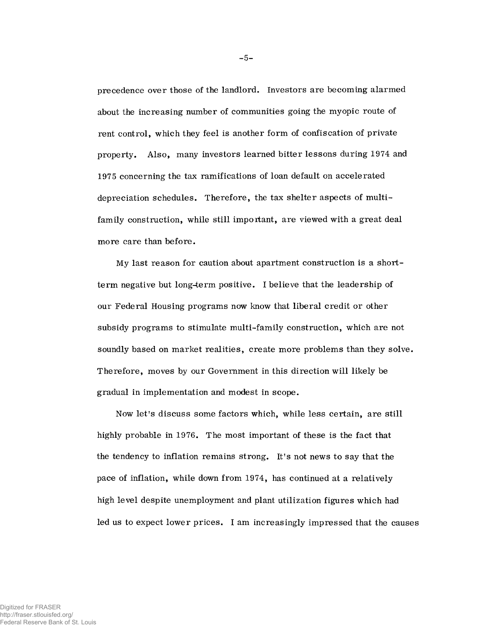precedence over those of the landlord. Investors are becoming alarmed about the increasing number of communities going the myopic route of rent control, which they feel is another form of confiscation of private property. Also, many investors learned bitter lessons during 1974 and 1975 concerning the tax ramifications of loan default on accelerated depreciation schedules. Therefore, the tax shelter aspects of multifamily construction, while still important, are viewed with a great deal more care than before.

My last reason for caution about apartment construction is a shortterm negative but long-term positive. I believe that the leadership of our Federal Housing programs now know that liberal credit or other subsidy programs to stimulate multi-family construction, which are not soundly based on market realities, create more problems than they solve. Therefore, moves by our Government in this direction will likely be gradual in implementation and modest in scope.

Now let's discuss some factors which, while less certain, are still highly probable in 1976. The most important of these is the fact that the tendency to inflation remains strong. It's not news to say that the pace of inflation, while down from 1974, has continued at a relatively high level despite unemployment and plant utilization figures which had led us to expect lower prices. I am increasingly impressed that the causes

- **5**-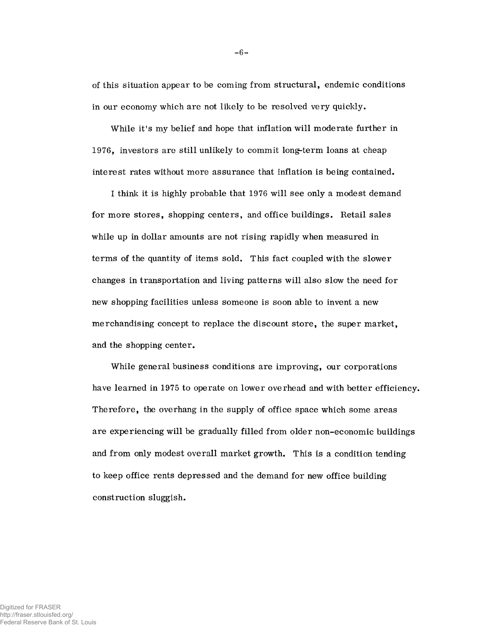of this situation appear to be coming from structural, endemic conditions in our economy which are not likely to be resolved very quickly.

While it's my belief and hope that inflation will moderate further in 1976, investors are still unlikely to commit long-term loans at cheap interest rates without more assurance that inflation is being contained.

I think it is highly probable that 1976 will see only a modest demand for more stores, shopping centers, and office buildings. Retail sales while up in dollar amounts are not rising rapidly when measured in terms of the quantity of items sold. This fact coupled with the slower changes in transportation and living patterns will also slow the need for new shopping facilities unless someone is soon able to invent a new merchandising concept to replace the discount store, the super market, and the shopping center.

While general business conditions are improving, our corporations have learned in 1975 to operate on lower overhead and with better efficiency. Therefore, the overhang in the supply of office space which some areas are experiencing will be gradually filled from older non-economic buildings and from only modest overall market growth. This is a condition tending to keep office rents depressed and the demand for new office building construction sluggish.

**- 6-**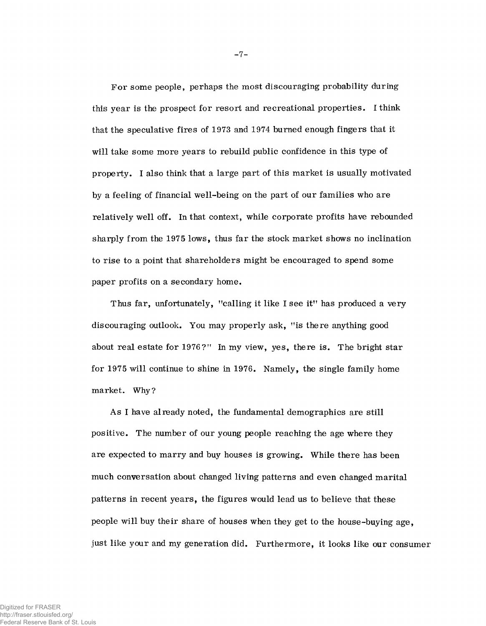For some people, perhaps the most discouraging probability during this year is the prospect for resort and recreational properties. I think that the speculative fires of 1973 and 1974 burned enough fingers that it will take some more years to rebuild public confidence in this type of property. I also think that a large part of this market is usually motivated by a feeling of financial well-being on the part of our families who are relatively well off. In that context, while corporate profits have rebounded sharply from the 1975 lows, thus far the stock market shows no inclination to rise to a point that shareholders might be encouraged to spend some paper profits on a secondary home.

Thus far, unfortunately, "calling it like I see it" has produced a very discouraging outlook. You may properly ask, "is there anything good about real estate for 1976?" In my view, yes, there is. The bright star for 1975 will continue to shine in 1976. Namely, the single family home market. Why?

As I have already noted, the fundamental demographics are still positive. The number of our young people reaching the age where they are expected to marry and buy houses is growing. While there has been much conversation about changed living patterns and even changed marital patterns in recent years, the figures would lead us to believe that these people will buy their share of houses when they get to the house-buying age, just like your and my generation did. Furthermore, it looks like our consumer

**- 7-**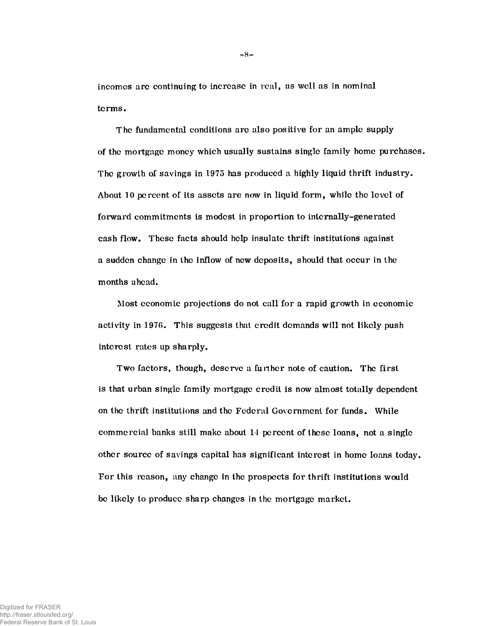incomcs arc continuing to increase in real, as well as in nominal terms.

The fundamental conditions arc also positive for an ample supply of the mortgage money which usually sustains single family home purchases. The growth of savings in 1975 has produced a highly liquid thrift industry. About 10 percent of its assets are now in liquid form, while the level of forward commitments is modest in proportion to internally-generated cash flow. These facts should help insulate thrift institutions against a sudden change in ihe inflow of new deposits, should that occur in the months ahead.

Most economic projections do not call for a rapid growth in economic activity in 1976. This suggests that credit demands will not likely push interest rates up sharply.

Two factors, though, deserve a further note of caution. The first is that urban single family mortgage credit is now almost totally dependent on the thrift institutions and the Federal Government for funds. While commercial banks still make about 11 percent of these loans, not a single other source of savings capital has significant interest in home loans today. For this reason, any change in the prospects for thrift institutions would be likely to produce sharp changes in the mortgage market.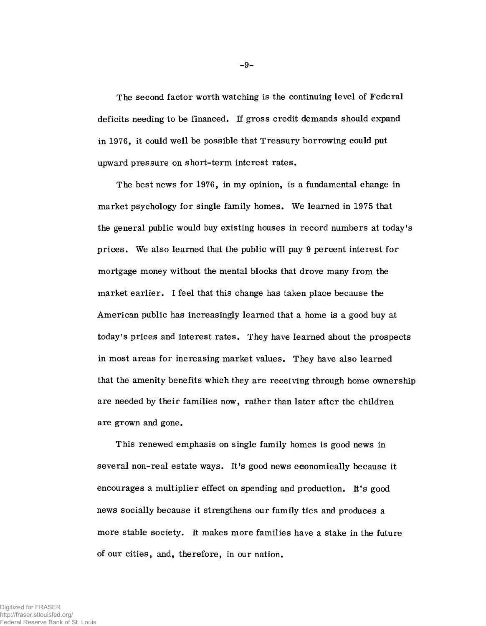The second factor worth watching is the continuing level of Federal deficits needing to be financed. If gross credit demands should expand in 1976, it could well be possible that Treasury borrowing could put upward pressure on short-term interest rates.

The best news for 1976, in my opinion, is a fundamental change in market psychology for single family homes. We learned in 1975 that the general public would buy existing houses in record numbers at today's prices. We also learned that the public will pay 9 percent interest for mortgage money without the mental blocks that drove many from the market earlier. I feel that this change has taken place because the American public has increasingly learned that a home is a good buy at today's prices and interest rates. They have learned about the prospects in most areas for increasing market values. They have also learned that the amenity benefits which they are receiving through home ownership are needed by their families now, rather than later after the children are grown and gone.

This renewed emphasis on single family homes is good news in several non-real estate ways. It's good news economically because it encourages a multiplier effect on spending and production. It's good news socially because it strengthens our family ties and produces a more stable society. It makes more families have a stake in the future of our cities, and, therefore, in our nation.

- **9**-